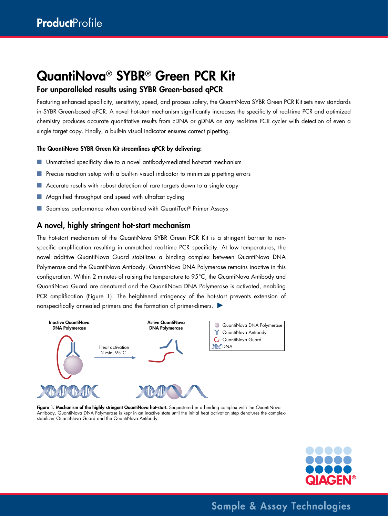# QuantiNova® SYBR® Green PCR Kit

# For unparalleled results using SYBR Green-based qPCR

Featuring enhanced specificity, sensitivity, speed, and process safety, the QuantiNova SYBR Green PCR Kit sets new standards in SYBR Green-based qPCR. A novel hot-start mechanism significantly increases the specificity of real-time PCR and optimized chemistry produces accurate quantitative results from cDNA or gDNA on any real-time PCR cycler with detection of even a single target copy. Finally, a built-in visual indicator ensures correct pipetting.

#### The QuantiNova SYBR Green Kit streamlines qPCR by delivering:

- Unmatched specificity due to a novel antibody-mediated hot-start mechanism
- Precise reaction setup with a built-in visual indicator to minimize pipetting errors
- Accurate results with robust detection of rare targets down to a single copy
- Magnified throughput and speed with ultrafast cycling
- Seamless performance when combined with QuantiTect® Primer Assays

# A novel, highly stringent hot-start mechanism

The hot-start mechanism of the QuantiNova SYBR Green PCR Kit is a stringent barrier to nonspecific amplification resulting in unmatched real-time PCR specificity. At low temperatures, the novel additive QuantiNova Guard stabilizes a binding complex between QuantiNova DNA Polymerase and the QuantiNova Antibody. QuantiNova DNA Polymerase remains inactive in this configuration. Within 2 minutes of raising the temperature to 95°C, the QuantiNova Antibody and QuantiNova Guard are denatured and the QuantiNova DNA Polymerase is activated, enabling PCR amplification (Figure 1). The heightened stringency of the hot-start prevents extension of nonspecifically annealed primers and the formation of primer-dimers.



Figure 1. Mechanism of the highly stringent QuantiNova hot-start. Sequestered in a binding complex with the QuantiNova Antibody, QuantiNova DNA Polymerase is kept in an inactive state until the initial heat activation step denatures the complexstabilizer QuantiNova Guard and the QuantiNova Antibody.



Sample & Assay Technologies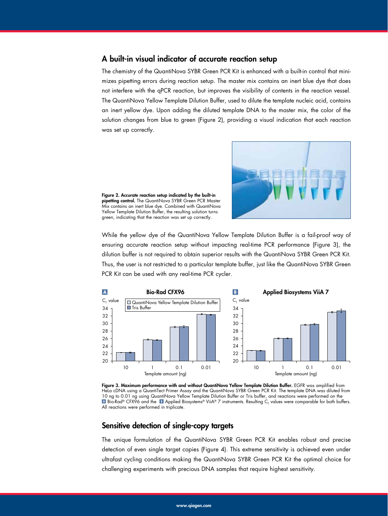### A built-in visual indicator of accurate reaction setup

The chemistry of the QuantiNova SYBR Green PCR Kit is enhanced with a built-in control that minimizes pipetting errors during reaction setup. The master mix contains an inert blue dye that does not interfere with the qPCR reaction, but improves the visibility of contents in the reaction vessel. The QuantiNova Yellow Template Dilution Buffer, used to dilute the template nucleic acid, contains an inert yellow dye. Upon adding the diluted template DNA to the master mix, the color of the solution changes from blue to green (Figure 2), providing a visual indication that each reaction was set up correctly.



Figure 2. Accurate reaction setup indicated by the built-in pipetting control. The QuantiNova SYBR Green PCR Master Mix contains an inert blue dye. Combined with QuantiNova Yellow Template Dilution Buffer, the resulting solution turns green, indicating that the reaction was set up correctly.

While the yellow dye of the QuantiNova Yellow Template Dilution Buffer is a fail-proof way of 28 ensuring accurate reaction setup without impacting real-time PCR performance (Figure 3), the dilution buffer is not required to obtain superior results with the QuantiNova SYBR Green PCR Kit. 24 Thus, the user is not restricted to a particular template buffer, just like the QuantiNova SYBR Green 20 PCR Kit can be used with any real-time PCR cycler. <sup>2</sup>



Figure 3. Maximum performance with and without QuantiNova Yellow Template Dilution Buffer. EGFR was amplified from rigure s. maximum periormance wim and wimour Quammoova Tenow Tempiale Dilution butter. LOTK was ampimed from<br>Hela cDNA using a QuantiTect Primer Assay and the QuantiNova SYBR Green PCR Kit. The template DNA was diluted fro 10 ng to 0.01 ng using QuantiNova Yellow Template Dilution Buffer or Tris buffer, and reactions were performed on the Bio-Rad® CFX96 and the **B** Applied Biosystems® ViiA® 7 instruments. Resulting C<sub>T</sub> values were comparable for both buffers. All reactions were performed in triplicate.

#### Sensitive detection of single-copy targets 30

The unique formulation of the QuantiNova SYBR Green PCR Kit enables robust and precise 26 detection of even single target copies (Figure 4). This extreme sensitivity is achieved even under ultrafast cycling conditions making the QuantiNova SYBR Green PCR Kit the optimal choice for challenging experiments with precious DNA samples that require highest sensitivity. <u> $\overline{111}$ </u>  $10$  0.1  $\mu$  0.1  $\mu$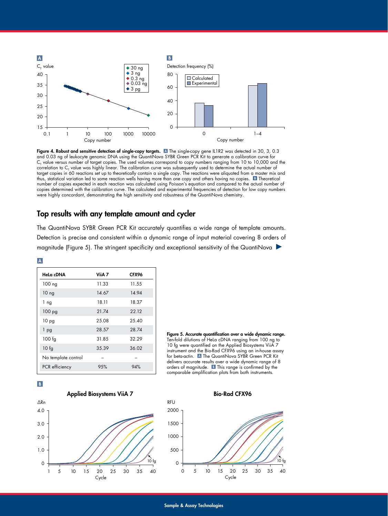

15

Figure 4. Robust and sensitive detection of single-copy targets.  $\Delta$  The single-copy gene IL1R2 was detected in 30, 3, 0.3 and 0.03 ng of leukocyte genomic DNA using the QuantiNova SYBR Green PCR Kit to generate a calibration curve for  ${\sf C}_{_{\sf T}}$  value versus number of target copies. The used volumes correspond to copy numbers ranging from 10 to 10,000 and the correlation to C<sub>T</sub> value was highly linear. The calibration curve was subsequently used to determine the actual number of target copies in 60 reactions set up to theoretically contain a single copy. The reactions were aliquoted from a master mix and target copies in 60 reactions set up to theoretically contain a single copy. The reactions wer ranger copies in our reactions set up to mediencully comain a single copy. The reactions were aliquoted from a master mix at<br>thus, statistical variation led to some reaction wells having more than one copy and others havin number of copies expected in each reaction was calculated using Poisson's equation and compared to the actual number of copies determined with the calibration curve. The calculated and experimental frequencies of detection for low copy numbers were highly concordant, demonstrating the high sensitivity and robustness of the QuantiNova chemistry. 40 10 ng 14.67 14.94

# Top results with any template amount and cycler

The QuantiNova SYBR Green PCR Kit accurately quantifies a wide range of template amounts. 0 Detection is precise and consistent within a dynamic range of input material covering 8 orders of magnitude (Figure 5). The stringent speciticity and exceptional sensitivity ot the QuantiNova wa orbis Green rick ish accordiely quantities a wide range of lemplate annual

| Hela cDNA           | ViiA 7 | CFX96 |
|---------------------|--------|-------|
| 100 ng              | 11.33  | 11.55 |
| 10 <sub>ng</sub>    | 14.67  | 14.94 |
| 1 ng                | 18.11  | 18.37 |
| 100 <sub>pg</sub>   | 21.74  | 22.12 |
| 10 pg               | 25.08  | 25.40 |
| 1 pg                | 28.57  | 28.74 |
| $100$ fg            | 31.85  | 32.29 |
| 10 f <sub>g</sub>   | 35.39  | 36.02 |
| No template control |        |       |
| PCR efficiency      | 95%    | 94%   |









Bio-Rad CFX96